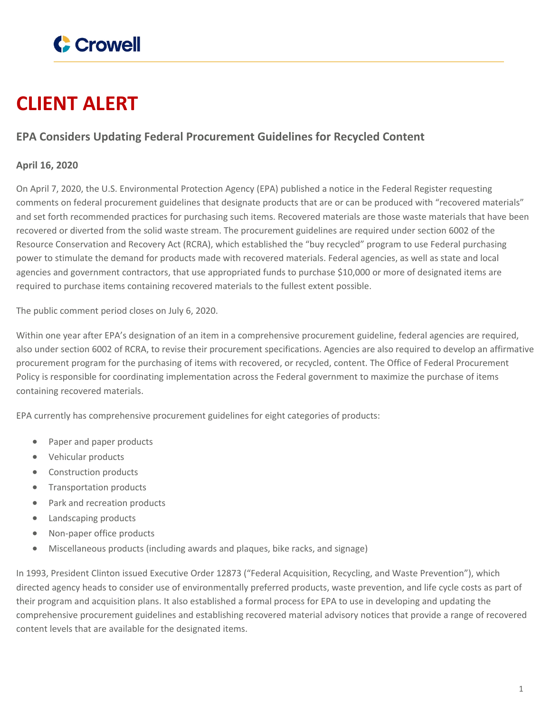

## **CLIENT ALERT**

## **EPA Considers Updating Federal Procurement Guidelines for Recycled Content**

## **April 16, 2020**

On April 7, 2020, the U.S. Environmental Protection Agency (EPA) published a notice in the Federal Register requesting comments on federal procurement guidelines that designate products that are or can be produced with "recovered materials" and set forth recommended practices for purchasing such items. Recovered materials are those waste materials that have been recovered or diverted from the solid waste stream. The procurement guidelines are required under section 6002 of the Resource Conservation and Recovery Act (RCRA), which established the "buy recycled" program to use Federal purchasing power to stimulate the demand for products made with recovered materials. Federal agencies, as well as state and local agencies and government contractors, that use appropriated funds to purchase \$10,000 or more of designated items are required to purchase items containing recovered materials to the fullest extent possible.

The public comment period closes on July 6, 2020.

Within one year after EPA's designation of an item in a comprehensive procurement guideline, federal agencies are required, also under section 6002 of RCRA, to revise their procurement specifications. Agencies are also required to develop an affirmative procurement program for the purchasing of items with recovered, or recycled, content. The Office of Federal Procurement Policy is responsible for coordinating implementation across the Federal government to maximize the purchase of items containing recovered materials.

EPA currently has comprehensive procurement guidelines for eight categories of products:

- Paper and paper products
- Vehicular products
- Construction products
- Transportation products
- Park and recreation products
- Landscaping products
- Non-paper office products
- Miscellaneous products (including awards and plaques, bike racks, and signage)

In 1993, President Clinton issued Executive Order 12873 ("Federal Acquisition, Recycling, and Waste Prevention"), which directed agency heads to consider use of environmentally preferred products, waste prevention, and life cycle costs as part of their program and acquisition plans. It also established a formal process for EPA to use in developing and updating the comprehensive procurement guidelines and establishing recovered material advisory notices that provide a range of recovered content levels that are available for the designated items.